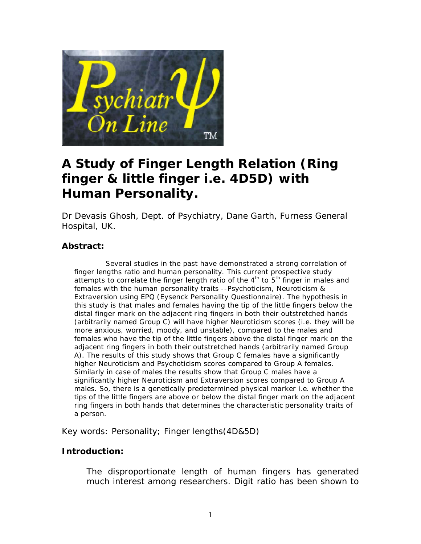

# **A Study of Finger Length Relation (Ring finger & little finger i.e. 4D5D) with Human Personality.**

Dr Devasis Ghosh, Dept. of Psychiatry, Dane Garth, Furness General Hospital, UK.

# **Abstract:**

 Several studies in the past have demonstrated a strong correlation of finger lengths ratio and human personality. This current prospective study attempts to correlate the finger length ratio of the  $4<sup>th</sup>$  to  $5<sup>th</sup>$  finger in males and females with the human personality traits --Psychoticism, Neuroticism & Extraversion using EPQ (Eysenck Personality Questionnaire). The hypothesis in this study is that males and females having the tip of the little fingers below the distal finger mark on the adjacent ring fingers in both their outstretched hands (arbitrarily named Group C) will have higher Neuroticism scores (i.e. they will be more anxious, worried, moody, and unstable), compared to the males and females who have the tip of the little fingers above the distal finger mark on the adjacent ring fingers in both their outstretched hands (arbitrarily named Group A). The results of this study shows that Group C females have a significantly higher Neuroticism and Psychoticism scores compared to Group A females. Similarly in case of males the results show that Group C males have a significantly higher Neuroticism and Extraversion scores compared to Group A males. So, there is a genetically predetermined physical marker i.e. whether the tips of the little fingers are above or below the distal finger mark on the adjacent ring fingers in both hands that determines the characteristic personality traits of a person.

Key words: Personality; Finger lengths(4D&5D)

# **Introduction:**

The disproportionate length of human fingers has generated much interest among researchers. Digit ratio has been shown to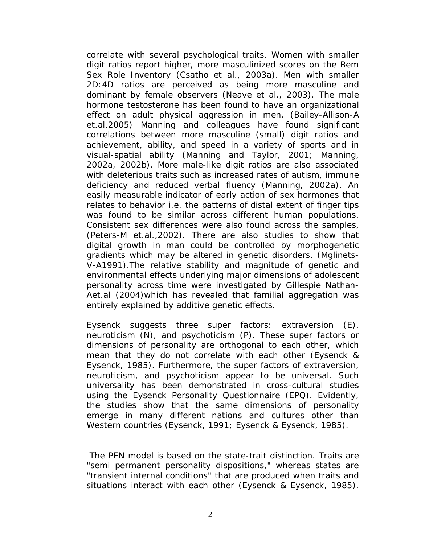correlate with several psychological traits. Women with smaller digit ratios report higher, more masculinized scores on the Bem Sex Role Inventory (Csatho et al., 2003a). Men with smaller 2D:4D ratios are perceived as being more masculine and dominant by female observers (Neave et al., 2003). The male hormone testosterone has been found to have an organizational effect on adult physical aggression in men. (Bailey-Allison-A et.al.2005) Manning and colleagues have found significant correlations between more masculine (small) digit ratios and achievement, ability, and speed in a variety of sports and in visual-spatial ability (Manning and Taylor, 2001; Manning, 2002a, 2002b). More male-like digit ratios are also associated with deleterious traits such as increased rates of autism, immune deficiency and reduced verbal fluency (Manning, 2002a). An easily measurable indicator of early action of sex hormones that relates to behavior i.e. the patterns of distal extent of finger tips was found to be similar across different human populations. Consistent sex differences were also found across the samples, (Peters-M et.al.,2002). There are also studies to show that digital growth in man could be controlled by morphogenetic gradients which may be altered in genetic disorders. (Mglinets-V-A1991).The relative stability and magnitude of genetic and environmental effects underlying major dimensions of adolescent personality across time were investigated by Gillespie Nathan-Aet.al (2004)which has revealed that familial aggregation was entirely explained by additive genetic effects.

Eysenck suggests three super factors: extraversion (E), neuroticism (N), and psychoticism (P). These super factors or dimensions of personality are orthogonal to each other, which mean that they do not correlate with each other (Eysenck & Eysenck, 1985). Furthermore, the super factors of extraversion, neuroticism, and psychoticism appear to be universal. Such universality has been demonstrated in cross-cultural studies using the Eysenck Personality Questionnaire (EPQ). Evidently, the studies show that the same dimensions of personality emerge in many different nations and cultures other than Western countries (Eysenck, 1991; Eysenck & Eysenck, 1985).

 The PEN model is based on the state-trait distinction. Traits are "semi permanent personality dispositions," whereas states are "transient internal conditions" that are produced when traits and situations interact with each other (Eysenck & Eysenck, 1985).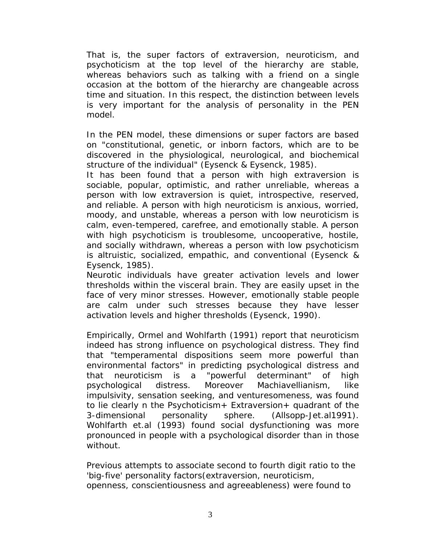That is, the super factors of extraversion, neuroticism, and psychoticism at the top level of the hierarchy are stable, whereas behaviors such as talking with a friend on a single occasion at the bottom of the hierarchy are changeable across time and situation. In this respect, the distinction between levels is very important for the analysis of personality in the PEN model.

In the PEN model, these dimensions or super factors are based on "constitutional, genetic, or inborn factors, which are to be discovered in the physiological, neurological, and biochemical structure of the individual" (Eysenck & Eysenck, 1985).

It has been found that a person with high extraversion is sociable, popular, optimistic, and rather unreliable, whereas a person with low extraversion is quiet, introspective, reserved, and reliable. A person with high neuroticism is anxious, worried, moody, and unstable, whereas a person with low neuroticism is calm, even-tempered, carefree, and emotionally stable. A person with high psychoticism is troublesome, uncooperative, hostile, and socially withdrawn, whereas a person with low psychoticism is altruistic, socialized, empathic, and conventional (Eysenck & Eysenck, 1985).

Neurotic individuals have greater activation levels and lower thresholds within the visceral brain. They are easily upset in the face of very minor stresses. However, emotionally stable people are calm under such stresses because they have lesser activation levels and higher thresholds (Eysenck, 1990).

Empirically, Ormel and Wohlfarth (1991) report that neuroticism indeed has strong influence on psychological distress. They find that "temperamental dispositions seem more powerful than environmental factors" in predicting psychological distress and that neuroticism is a "powerful determinant" of high psychological distress. Moreover Machiavellianism, like impulsivity, sensation seeking, and venturesomeness, was found to lie clearly n the Psychoticism+ Extraversion+ quadrant of the 3-dimensional personality sphere. (Allsopp-Jet.al1991). Wohlfarth et.al (1993) found social dysfunctioning was more pronounced in people with a psychological disorder than in those without.

Previous attempts to associate second to fourth digit ratio to the 'big-five' personality factors(extraversion, neuroticism, openness, conscientiousness and agreeableness) were found to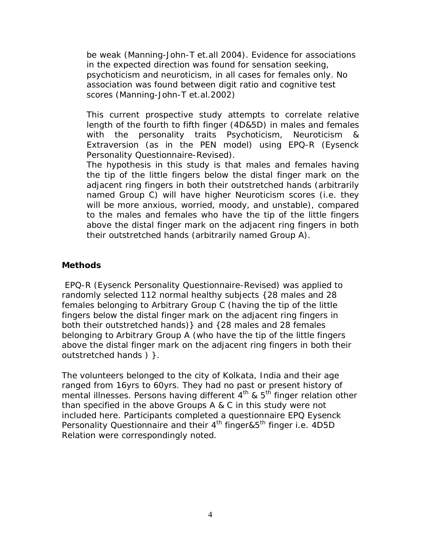be weak (Manning-John-T et.all 2004). Evidence for associations in the expected direction was found for sensation seeking, psychoticism and neuroticism, in all cases for females only. No association was found between digit ratio and cognitive test scores (Manning-John-T et.al.2002)

This current prospective study attempts to correlate relative length of the fourth to fifth finger (4D&5D) in males and females with the personality traits Psychoticism, Neuroticism & Extraversion (as in the PEN model) using EPQ-R (Eysenck Personality Questionnaire-Revised).

The hypothesis in this study is that males and females having the tip of the little fingers below the distal finger mark on the adjacent ring fingers in both their outstretched hands (arbitrarily named Group C) will have higher Neuroticism scores (i.e. they will be more anxious, worried, moody, and unstable), compared to the males and females who have the tip of the little fingers above the distal finger mark on the adjacent ring fingers in both their outstretched hands (arbitrarily named Group A).

## **Methods**

 EPQ-R (Eysenck Personality Questionnaire-Revised) was applied to randomly selected 112 normal healthy subjects {28 males and 28 females belonging to Arbitrary Group C (*having the tip of the little fingers below the distal finger mark on the adjacent ring fingers in both their outstretched hands*)} and {28 males and 28 females belonging to Arbitrary Group A (*who have the tip of the little fingers above the distal finger mark on the adjacent ring fingers in both their outstretched hands* ) }.

The volunteers belonged to the city of Kolkata, India and their age ranged from 16yrs to 60yrs. They had no past or present history of mental illnesses. Persons having different 4<sup>th</sup> & 5<sup>th</sup> finger relation other than specified in the above Groups A & C in this study were not included here. Participants completed a questionnaire EPQ Eysenck Personality Questionnaire and their 4<sup>th</sup> finger&5<sup>th</sup> finger i.e. 4D5D Relation were correspondingly noted.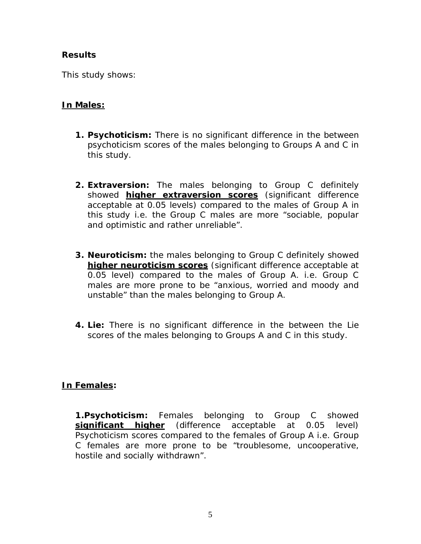# **Results**

This study shows:

# **In Males:**

- **1. Psychoticism:** There is no significant difference in the between psychoticism scores of the males belonging to Groups A and C in this study.
- **2. Extraversion:** The males belonging to Group C definitely showed **higher extraversion scores** (significant difference acceptable at 0.05 levels) compared to the males of Group A in this study i.e. the Group C males are more "sociable, popular and optimistic and rather unreliable".
- **3. Neuroticism:** the males belonging to Group C definitely showed **higher neuroticism scores** (significant difference acceptable at 0.05 level) compared to the males of Group A. i.e. Group C males are more prone to be "anxious, worried and moody and unstable" than the males belonging to Group A.
- **4. Lie:** There is no significant difference in the between the Lie scores of the males belonging to Groups A and C in this study.

# **In Females:**

**1.Psychoticism:** Females belonging to Group C showed **significant higher** (difference acceptable at 0.05 level) Psychoticism scores compared to the females of Group A i.e. Group C females are more prone to be "troublesome, uncooperative, hostile and socially withdrawn".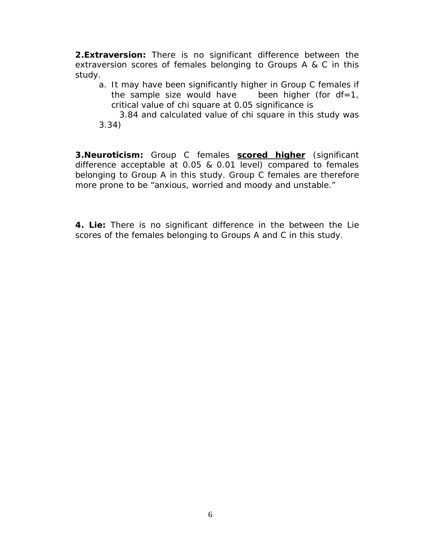**2.Extraversion:** There is no significant difference between the extraversion scores of females belonging to Groups A & C in this study.

- a. It may have been significantly higher in Group C females if the sample size would have been higher (for  $df=1$ , critical value of chi square at 0.05 significance is
- 3.84 and calculated value of chi square in this study was 3.34)

**3.Neuroticism:** Group C females **scored higher** (significant difference acceptable at 0.05 & 0.01 level) compared to females belonging to Group A in this study. Group C females are therefore more prone to be "anxious, worried and moody and unstable."

**4. Lie:** There is no significant difference in the between the Lie scores of the females belonging to Groups A and C in this study.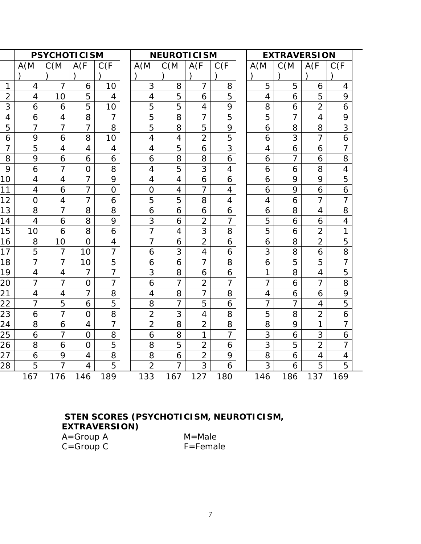|                |                | <b>PSYCHOTICISM</b> |                |                | <b>NEUROTICISM</b><br><b>EXTRAVERSION</b> |                |                |                |                |                |                |                |                |
|----------------|----------------|---------------------|----------------|----------------|-------------------------------------------|----------------|----------------|----------------|----------------|----------------|----------------|----------------|----------------|
|                | A(M)           | C(M)                | A(F)           | C(F)           |                                           | A(M)           | C(M)           | A(F)           | C(F)           | A(M)           | C(M)           | A(F)           | C(F)           |
|                |                |                     |                |                |                                           |                |                |                |                |                |                |                |                |
| 1              | 4              | 7                   | 6              | 10             |                                           | 3              | 8              | 7              | 8              | 5              | 5              | 6              | 4              |
| $\overline{2}$ | $\overline{4}$ | 10                  | 5              | 4              |                                           | 4              | 5              | 6              | 5              | $\overline{4}$ | 6              | 5              | 9              |
| 3              | 6              | 6                   | 5              | 10             |                                           | 5              | 5              | 4              | 9              | 8              | 6              | $\overline{2}$ | 6              |
| 4              | 6              | 4                   | 8              | 7              |                                           | 5              | 8              | 7              | 5              | 5              | 7              | $\overline{4}$ | 9              |
| 5              | $\overline{7}$ | $\overline{7}$      | $\overline{7}$ | 8              |                                           | 5              | 8              | 5              | 9              | 6              | 8              | 8              | 3              |
| 6              | 9              | 6                   | 8              | 10             |                                           | 4              | 4              | $\overline{2}$ | 5              | 6              | 3              | $\overline{7}$ | 6              |
| 7              | 5              | 4                   | $\overline{4}$ | 4              |                                           | 4              | 5              | 6              | 3              | 4              | 6              | 6              |                |
| 8              | 9              | 6                   | 6              | 6              |                                           | 6              | 8              | 8              | 6              | 6              | $\overline{7}$ | 6              | 8              |
| 9              | 6              | $\overline{7}$      | $\overline{O}$ | 8              |                                           | 4              | 5              | 3              | 4              | 6              | 6              | 8              | $\overline{4}$ |
| 10             | 4              | 4                   | 7              | 9              |                                           | 4              | $\overline{4}$ | 6              | 6              | 6              | 9              | 9              | 5              |
| 11             | 4              | 6                   | $\overline{7}$ | $\Omega$       |                                           | $\overline{O}$ | 4              | $\overline{7}$ | $\overline{4}$ | 6              | 9              | 6              | 6              |
| 12             | $\Omega$       | 4                   | $\overline{7}$ | 6              |                                           | 5              | 5              | 8              | 4              | 4              | 6              | $\overline{7}$ | 7              |
| 13             | 8              | 7                   | 8              | 8              |                                           | 6              | 6              | 6              | 6              | 6              | 8              | $\overline{4}$ | 8              |
| 14             | $\overline{4}$ | 6                   | 8              | 9              |                                           | 3              | 6              | $\overline{2}$ | $\overline{7}$ | 5              | 6              | 6              | 4              |
| 15             | 10             | 6                   | 8              | 6              |                                           | $\overline{7}$ | $\overline{4}$ | 3              | 8              | 5              | 6              | $\overline{2}$ | 1              |
| 16             | 8              | 10                  | $\Omega$       | 4              |                                           | 7              | 6              | $\overline{2}$ | 6              | 6              | 8              | $\overline{2}$ | 5              |
| 17             | 5              | $\overline{7}$      | 10             | $\overline{7}$ |                                           | 6              | 3              | $\overline{4}$ | 6              | 3              | 8              | 6              | 8              |
| 18             | $\overline{7}$ | $\overline{7}$      | 10             | 5              |                                           | 6              | 6              | $\overline{7}$ | 8              | 6              | 5              | 5              | $\overline{7}$ |
| 19             | 4              | 4                   | 7              | 7              |                                           | 3              | 8              | 6              | 6              | 1              | 8              | 4              | 5              |
| 20             | $\overline{7}$ | $\overline{7}$      | $\overline{O}$ | $\overline{7}$ |                                           | 6              | $\overline{7}$ | $\overline{2}$ | $\overline{7}$ | 7              | 6              | $\overline{7}$ | 8              |
| 21             | $\overline{4}$ | $\overline{4}$      | $\overline{7}$ | 8              |                                           | $\overline{4}$ | 8              | $\overline{7}$ | 8              | $\overline{4}$ | 6              | 6              | 9              |
| 22             | 7              | 5                   | 6              | 5              |                                           | 8              | 7              | 5              | 6              |                | 7              | 4              | 5              |
| 23             | 6              | 7                   | $\overline{O}$ | 8              |                                           | $\overline{2}$ | 3              | 4              | 8              | 5              | 8              | $\overline{2}$ | 6              |
| 24             | 8              | 6                   | $\overline{4}$ | $\overline{7}$ |                                           | $\overline{2}$ | 8              | $\overline{2}$ | 8              | 8              | 9              | 1              | $\overline{7}$ |
| 25             | 6              | 7                   | $\overline{O}$ | 8              |                                           | 6              | 8              | 1              | $\overline{7}$ | 3              | 6              | 3              | 6              |
| 26             | 8              | 6                   | $\overline{0}$ | 5              |                                           | 8              | 5              | $\overline{2}$ | 6              | 3              | 5              | $\overline{2}$ | 7              |
| 27             | 6              | 9                   | $\overline{4}$ | 8              |                                           | 8              | 6              | $\overline{2}$ | 9              | 8              | 6              | 4              | 4              |
| 28             | 5              | 7                   | 4              | 5              |                                           | $\overline{2}$ | 7              | 3              | 6              | 3              | 6              | 5              | 5              |
|                | 167            | 176                 | 146            | 189            |                                           | 133            | 167            | 127            | 180            | 146            | 186            | 137            | 169            |

# **STEN SCORES** *(PSYCHOTICISM, NEUROTICISM, EXTRAVERSION)*

A=Group A M=Male<br>C=Group C F=Female  $C =$ Group  $C$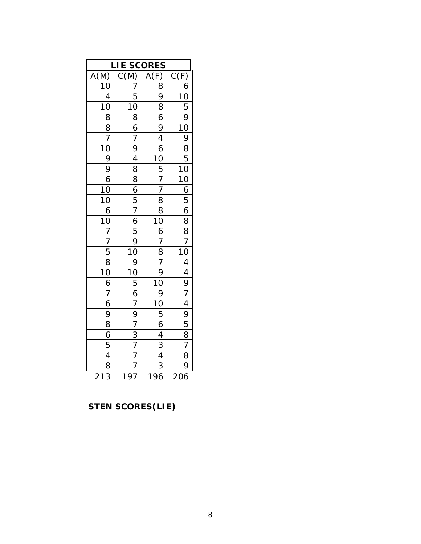| <u>IESCORES</u><br>C(M) A(F)<br>7 8 9<br>5 9 4 10<br>8 6 9 4 10<br>8 6 9 4 10<br>8 5 7 8<br>6 7 8 8 6 10<br>5 7 8<br>6 7 8 8 9<br>7 8 6 10<br>9 10 8 9 7<br>10 9 9 10 9<br>10 9 10 9<br>10 9 10 9<br>7 10 9<br>7 10 9<br>7 10 9<br>7 10 9<br>7 10 9<br>7 10 9<br>7 10 9<br>7 10<br>ΙE<br>Ĺ<br>$\frac{A(M)}{10}$ $\frac{1}{10}$ $\frac{1}{10}$ $\frac{1}{10}$ $\frac{1}{10}$ $\frac{1}{10}$ $\frac{1}{10}$ $\frac{1}{10}$ $\frac{1}{10}$ $\frac{1}{10}$ $\frac{1}{10}$ $\frac{1}{10}$ $\frac{1}{10}$ $\frac{1}{10}$ $\frac{1}{10}$ $\frac{1}{10}$ $\frac{1}{10}$ $\frac{1}{10}$ $\frac{1}{10}$ $\frac{1}{10}$ |  |                                                                                                                                                                                                                                                                                                                                                                                 |                                                                                                                                                                                                                                                                                                                                                                           |  |  |  |  |
|--------------------------------------------------------------------------------------------------------------------------------------------------------------------------------------------------------------------------------------------------------------------------------------------------------------------------------------------------------------------------------------------------------------------------------------------------------------------------------------------------------------------------------------------------------------------------------------------------------------|--|---------------------------------------------------------------------------------------------------------------------------------------------------------------------------------------------------------------------------------------------------------------------------------------------------------------------------------------------------------------------------------|---------------------------------------------------------------------------------------------------------------------------------------------------------------------------------------------------------------------------------------------------------------------------------------------------------------------------------------------------------------------------|--|--|--|--|
|                                                                                                                                                                                                                                                                                                                                                                                                                                                                                                                                                                                                              |  |                                                                                                                                                                                                                                                                                                                                                                                 |                                                                                                                                                                                                                                                                                                                                                                           |  |  |  |  |
|                                                                                                                                                                                                                                                                                                                                                                                                                                                                                                                                                                                                              |  |                                                                                                                                                                                                                                                                                                                                                                                 |                                                                                                                                                                                                                                                                                                                                                                           |  |  |  |  |
|                                                                                                                                                                                                                                                                                                                                                                                                                                                                                                                                                                                                              |  |                                                                                                                                                                                                                                                                                                                                                                                 |                                                                                                                                                                                                                                                                                                                                                                           |  |  |  |  |
|                                                                                                                                                                                                                                                                                                                                                                                                                                                                                                                                                                                                              |  |                                                                                                                                                                                                                                                                                                                                                                                 |                                                                                                                                                                                                                                                                                                                                                                           |  |  |  |  |
|                                                                                                                                                                                                                                                                                                                                                                                                                                                                                                                                                                                                              |  |                                                                                                                                                                                                                                                                                                                                                                                 |                                                                                                                                                                                                                                                                                                                                                                           |  |  |  |  |
|                                                                                                                                                                                                                                                                                                                                                                                                                                                                                                                                                                                                              |  |                                                                                                                                                                                                                                                                                                                                                                                 |                                                                                                                                                                                                                                                                                                                                                                           |  |  |  |  |
|                                                                                                                                                                                                                                                                                                                                                                                                                                                                                                                                                                                                              |  |                                                                                                                                                                                                                                                                                                                                                                                 |                                                                                                                                                                                                                                                                                                                                                                           |  |  |  |  |
|                                                                                                                                                                                                                                                                                                                                                                                                                                                                                                                                                                                                              |  |                                                                                                                                                                                                                                                                                                                                                                                 |                                                                                                                                                                                                                                                                                                                                                                           |  |  |  |  |
|                                                                                                                                                                                                                                                                                                                                                                                                                                                                                                                                                                                                              |  |                                                                                                                                                                                                                                                                                                                                                                                 |                                                                                                                                                                                                                                                                                                                                                                           |  |  |  |  |
|                                                                                                                                                                                                                                                                                                                                                                                                                                                                                                                                                                                                              |  |                                                                                                                                                                                                                                                                                                                                                                                 |                                                                                                                                                                                                                                                                                                                                                                           |  |  |  |  |
|                                                                                                                                                                                                                                                                                                                                                                                                                                                                                                                                                                                                              |  |                                                                                                                                                                                                                                                                                                                                                                                 |                                                                                                                                                                                                                                                                                                                                                                           |  |  |  |  |
|                                                                                                                                                                                                                                                                                                                                                                                                                                                                                                                                                                                                              |  |                                                                                                                                                                                                                                                                                                                                                                                 |                                                                                                                                                                                                                                                                                                                                                                           |  |  |  |  |
|                                                                                                                                                                                                                                                                                                                                                                                                                                                                                                                                                                                                              |  |                                                                                                                                                                                                                                                                                                                                                                                 |                                                                                                                                                                                                                                                                                                                                                                           |  |  |  |  |
|                                                                                                                                                                                                                                                                                                                                                                                                                                                                                                                                                                                                              |  |                                                                                                                                                                                                                                                                                                                                                                                 |                                                                                                                                                                                                                                                                                                                                                                           |  |  |  |  |
|                                                                                                                                                                                                                                                                                                                                                                                                                                                                                                                                                                                                              |  |                                                                                                                                                                                                                                                                                                                                                                                 |                                                                                                                                                                                                                                                                                                                                                                           |  |  |  |  |
|                                                                                                                                                                                                                                                                                                                                                                                                                                                                                                                                                                                                              |  |                                                                                                                                                                                                                                                                                                                                                                                 |                                                                                                                                                                                                                                                                                                                                                                           |  |  |  |  |
|                                                                                                                                                                                                                                                                                                                                                                                                                                                                                                                                                                                                              |  |                                                                                                                                                                                                                                                                                                                                                                                 |                                                                                                                                                                                                                                                                                                                                                                           |  |  |  |  |
|                                                                                                                                                                                                                                                                                                                                                                                                                                                                                                                                                                                                              |  |                                                                                                                                                                                                                                                                                                                                                                                 |                                                                                                                                                                                                                                                                                                                                                                           |  |  |  |  |
|                                                                                                                                                                                                                                                                                                                                                                                                                                                                                                                                                                                                              |  |                                                                                                                                                                                                                                                                                                                                                                                 |                                                                                                                                                                                                                                                                                                                                                                           |  |  |  |  |
|                                                                                                                                                                                                                                                                                                                                                                                                                                                                                                                                                                                                              |  |                                                                                                                                                                                                                                                                                                                                                                                 |                                                                                                                                                                                                                                                                                                                                                                           |  |  |  |  |
|                                                                                                                                                                                                                                                                                                                                                                                                                                                                                                                                                                                                              |  |                                                                                                                                                                                                                                                                                                                                                                                 |                                                                                                                                                                                                                                                                                                                                                                           |  |  |  |  |
|                                                                                                                                                                                                                                                                                                                                                                                                                                                                                                                                                                                                              |  |                                                                                                                                                                                                                                                                                                                                                                                 |                                                                                                                                                                                                                                                                                                                                                                           |  |  |  |  |
|                                                                                                                                                                                                                                                                                                                                                                                                                                                                                                                                                                                                              |  |                                                                                                                                                                                                                                                                                                                                                                                 |                                                                                                                                                                                                                                                                                                                                                                           |  |  |  |  |
|                                                                                                                                                                                                                                                                                                                                                                                                                                                                                                                                                                                                              |  |                                                                                                                                                                                                                                                                                                                                                                                 |                                                                                                                                                                                                                                                                                                                                                                           |  |  |  |  |
|                                                                                                                                                                                                                                                                                                                                                                                                                                                                                                                                                                                                              |  |                                                                                                                                                                                                                                                                                                                                                                                 |                                                                                                                                                                                                                                                                                                                                                                           |  |  |  |  |
|                                                                                                                                                                                                                                                                                                                                                                                                                                                                                                                                                                                                              |  |                                                                                                                                                                                                                                                                                                                                                                                 |                                                                                                                                                                                                                                                                                                                                                                           |  |  |  |  |
|                                                                                                                                                                                                                                                                                                                                                                                                                                                                                                                                                                                                              |  |                                                                                                                                                                                                                                                                                                                                                                                 |                                                                                                                                                                                                                                                                                                                                                                           |  |  |  |  |
|                                                                                                                                                                                                                                                                                                                                                                                                                                                                                                                                                                                                              |  |                                                                                                                                                                                                                                                                                                                                                                                 |                                                                                                                                                                                                                                                                                                                                                                           |  |  |  |  |
|                                                                                                                                                                                                                                                                                                                                                                                                                                                                                                                                                                                                              |  | $\frac{\frac{1}{A(F)} \frac{1}{10} \frac{1}{10} \frac{1}{10}}{\frac{1}{10} \frac{1}{10} \frac{1}{10} \frac{1}{10} \frac{1}{10} \frac{1}{10} \frac{1}{10} \frac{1}{10} \frac{1}{10} \frac{1}{10} \frac{1}{10} \frac{1}{10} \frac{1}{10} \frac{1}{10} \frac{1}{10} \frac{1}{10} \frac{1}{10} \frac{1}{10} \frac{1}{10} \frac{1}{10} \frac{1}{10} \frac{1}{10} \frac{1}{10} \frac$ | $\frac{C(F)}{10} \frac{1}{5} \frac{1}{9} \frac{1}{10} \frac{1}{10} \frac{1}{10} \frac{1}{10} \frac{1}{10} \frac{1}{10} \frac{1}{10} \frac{1}{10} \frac{1}{10} \frac{1}{10} \frac{1}{10} \frac{1}{10} \frac{1}{10} \frac{1}{10} \frac{1}{10} \frac{1}{10} \frac{1}{10} \frac{1}{10} \frac{1}{10} \frac{1}{10} \frac{1}{10} \frac{1}{10} \frac{1}{10} \frac{1}{10} \frac{1$ |  |  |  |  |
|                                                                                                                                                                                                                                                                                                                                                                                                                                                                                                                                                                                                              |  |                                                                                                                                                                                                                                                                                                                                                                                 |                                                                                                                                                                                                                                                                                                                                                                           |  |  |  |  |

 **STEN SCORES***(LIE)*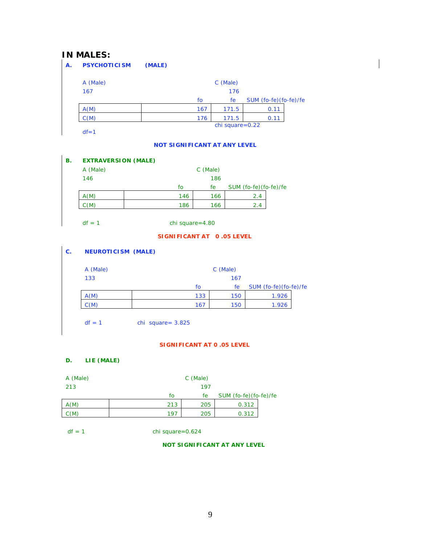### **IN MALES:**

| А. | <b>PSYCHOTICISM</b> | (MALE) |     |                    |                       |  |
|----|---------------------|--------|-----|--------------------|-----------------------|--|
|    | A (Male)            |        |     | C (Male)           |                       |  |
|    | 167                 |        |     | 176                |                       |  |
|    |                     |        | fo  | fe                 | SUM (fo-fe)(fo-fe)/fe |  |
|    | A(M)                |        | 167 | 171.5              | 0.11                  |  |
|    | C(M)                |        | 176 | 171.5              | 0.11                  |  |
|    |                     |        |     | chi square= $0.22$ |                       |  |
|    | $df = 1$            |        |     |                    |                       |  |

#### *NOT SIGNIFICANT AT ANY LEVEL*

 $\overline{\phantom{a}}$ 

#### **B. EXTRAVERSION (MALE)**

| A (Male) |     | C (Male) |                       |
|----------|-----|----------|-----------------------|
| 146      |     | 186      |                       |
|          | fo  | fe       | SUM (fo-fe)(fo-fe)/fe |
| A(M)     | 146 | 166      | 2.4                   |
| C(M)     | 186 | 166      | 2.4                   |

 $df = 1$  chi square=4.80

#### *SIGNIFICANT AT 0 .05 LEVEL*

### **C. NEUROTICISM (MALE)**

| A (Male) |     | C (Male) |                       |  |
|----------|-----|----------|-----------------------|--|
| 133      |     | 167      |                       |  |
|          | fo  | fe       | SUM (fo-fe)(fo-fe)/fe |  |
| A(M)     | 133 | 150      | 1.926                 |  |
| C(M)     | 167 | 150      | 1.926                 |  |

 $df = 1$  chi square= 3.825

#### *SIGNIFICANT AT 0 .05 LEVEL*

#### **D. LIE (MALE)**

| A (Male) |     | C (Male) |                       |  |
|----------|-----|----------|-----------------------|--|
| 213      |     | 197      |                       |  |
|          | fo  | fe.      | SUM (fo-fe)(fo-fe)/fe |  |
| A(M)     | 213 | 205      | 0.312                 |  |
| C(M)     | 197 | 205      | 0.312                 |  |

 $df = 1$  chi square=0.624

 *NOT SIGNIFICANT AT ANY LEVEL*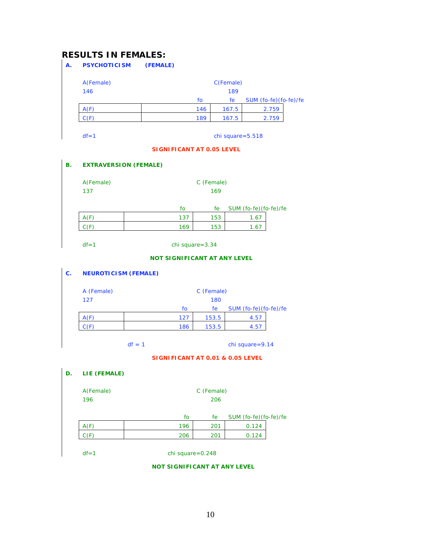# **RESULTS IN FEMALES:**

| А. | <b>PSYCHOTICISM</b> | (FEMALE) |     |                     |                       |  |
|----|---------------------|----------|-----|---------------------|-----------------------|--|
|    | A(Female)           |          |     | C(Female)           |                       |  |
|    | 146                 |          |     | 189                 |                       |  |
|    |                     |          | fo  | fe                  | SUM (fo-fe)(fo-fe)/fe |  |
|    | A(F)                |          | 146 | 167.5               | 2.759                 |  |
|    | C(F)                |          | 189 | 167.5               | 2.759                 |  |
|    |                     |          |     |                     |                       |  |
|    | $df = 1$            |          |     | chi square= $5.518$ |                       |  |

#### *SIGNIFICANT AT 0.05 LEVEL*

#### **B. EXTRAVERSION (FEMALE)**

| A(Female) |     | C (Female) |                       |  |  |
|-----------|-----|------------|-----------------------|--|--|
| 137       | 169 |            |                       |  |  |
|           | fo  | fe         | SUM (fo-fe)(fo-fe)/fe |  |  |
| A(F)      | 137 | 153        | 1.67                  |  |  |
| (F)       | 169 | 153        | 1.67                  |  |  |

#### *NOT SIGNIFICANT AT ANY LEVEL*

#### **C. NEUROTICISM (FEMALE)**

| A (Female) |     | C (Female) |                       |  |  |
|------------|-----|------------|-----------------------|--|--|
| 127        |     | 180        |                       |  |  |
|            | fo  | fe         | SUM (fo-fe)(fo-fe)/fe |  |  |
| A(F)       | 127 | 153.5      | 4.57                  |  |  |
|            | 186 | 153.5      | 4.57                  |  |  |

 $df = 1$  chi square=9.14

 *SIGNIFICANT AT 0.01 & 0.05 LEVEL* 

#### **D. LIE (FEMALE)**

| A(Female) | C (Female)<br>206 |     |                       |  |  |
|-----------|-------------------|-----|-----------------------|--|--|
| 196       |                   |     |                       |  |  |
|           |                   |     |                       |  |  |
|           | fo                | fe  | SUM (fo-fe)(fo-fe)/fe |  |  |
| A(F)      | 196               | 201 | 0.124                 |  |  |
|           | 206               | 201 | 0.124                 |  |  |

df=1 chi square=0.248

#### *NOT SIGNIFICANT AT ANY LEVEL*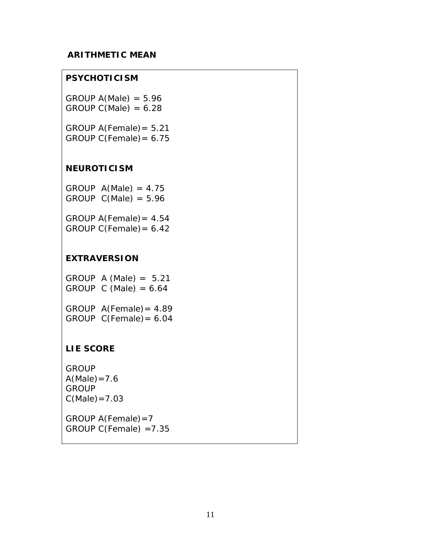### **ARITHMETIC MEAN**

### **PSYCHOTICISM**

GROUP  $A(Male) = 5.96$ GROUP  $C(Male) = 6.28$ 

GROUP A(Female)= 5.21 GROUP C(Female)= 6.75

### **NEUROTICISM**

GROUP  $A(Male) = 4.75$ GROUP  $C(Male) = 5.96$ 

GROUP A(Female)= 4.54 GROUP C(Female)= 6.42

### **EXTRAVERSION**

GROUP  $A$  (Male) = 5.21 GROUP C (Male) =  $6.64$ 

GROUP A(Female)= 4.89 GROUP C(Female)= 6.04

## **LIE SCORE**

**GROUP**  $A(Male)=7.6$ **GROUP**  $C(Male) = 7.03$ 

GROUP A(Female)=7 GROUP C(Female) =7.35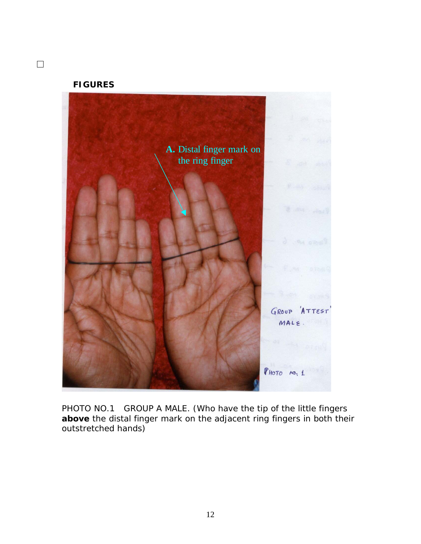### **FIGURES**

 $\Box$ 



PHOTO NO.1 GROUP A MALE. (*Who have the tip of the little fingers above the distal finger mark on the adjacent ring fingers in both their outstretched hands*)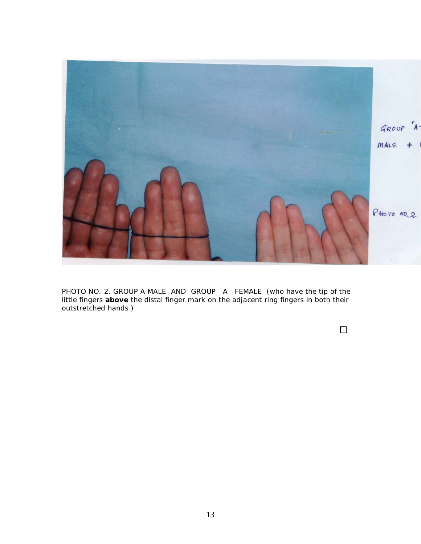

PHOTO NO. 2. GROUP A MALE AND GROUP A FEMALE (*who have the tip of the little fingers above the distal finger mark on the adjacent ring fingers in both their outstretched hands* )

 $\Box$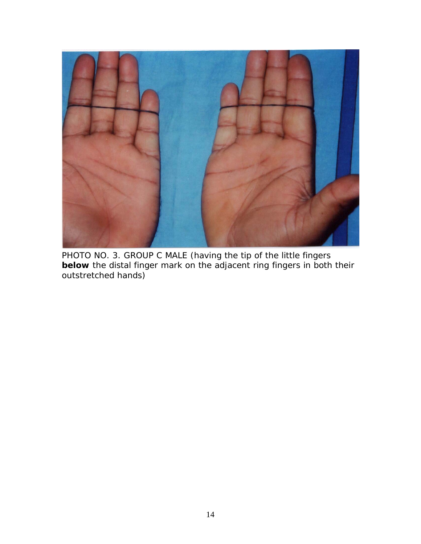

PHOTO NO. 3. GROUP C MALE (*having the tip of the little fingers below the distal finger mark on the adjacent ring fingers in both their outstretched hands*)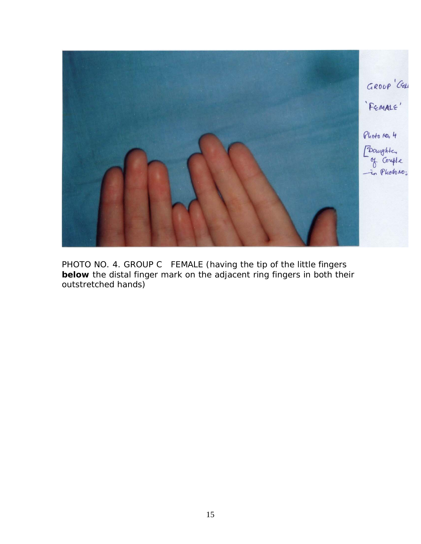

PHOTO NO. 4. GROUP C FEMALE (*having the tip of the little fingers below the distal finger mark on the adjacent ring fingers in both their outstretched hands*)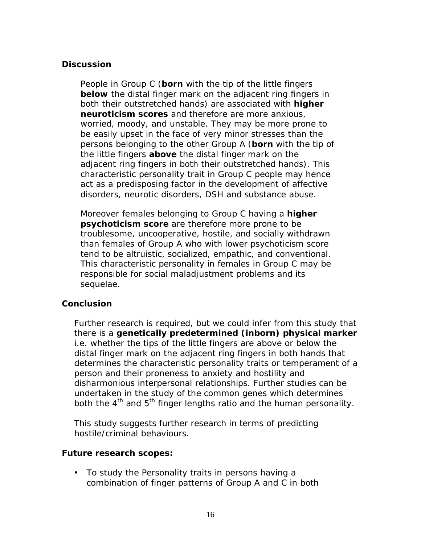## **Discussion**

People in Group C (*born with the tip of the little fingers below the distal finger mark on the adjacent ring fingers in both their outstretched hands*) are associated with **higher neuroticism scores** and therefore are more anxious, worried, moody, and unstable. They may be more prone to be easily upset in the face of very minor stresses than the persons belonging to the other Group A (*born with the tip of the little fingers above the distal finger mark on the adjacent ring fingers in both their outstretched hands*). This characteristic personality trait in Group C people may hence act as a predisposing factor in the development of affective disorders, neurotic disorders, DSH and substance abuse.

Moreover females belonging to Group C having a **higher psychoticism score** are therefore more prone to be troublesome, uncooperative, hostile, and socially withdrawn than females of Group A who with lower psychoticism score tend to be altruistic, socialized, empathic, and conventional. This characteristic personality in females in Group C may be responsible for social maladjustment problems and its sequelae.

## **Conclusion**

Further research is required, but we could infer from this study that there is a **genetically predetermined (inborn) physical marker** i.e. whether the tips of the little fingers are above or below the distal finger mark on the adjacent ring fingers in both hands that determines the characteristic personality traits or temperament of a person and their proneness to anxiety and hostility and disharmonious interpersonal relationships. Further studies can be undertaken in the study of the common genes which determines both the  $4<sup>th</sup>$  and  $5<sup>th</sup>$  finger lengths ratio and the human personality.

This study suggests further research in terms of predicting hostile/criminal behaviours.

### **Future research scopes:**

• To study the Personality traits in persons having a combination of finger patterns of Group A and C in both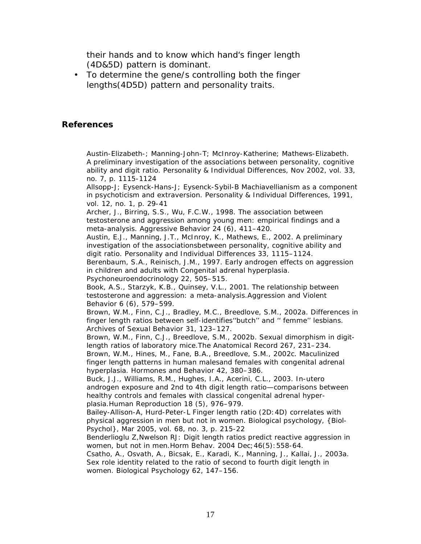their hands and to know which hand's finger length (4D&5D) pattern is dominant.

• To determine the gene/s controlling both the finger lengths(4D5D) pattern and personality traits.

### **References**

Austin-Elizabeth-; Manning-John-T; McInroy-Katherine; Mathews-Elizabeth. A preliminary investigation of the associations between personality, cognitive ability and digit ratio. Personality & Individual Differences, Nov 2002, vol. 33, no. 7, p. 1115-1124

Allsopp-J; Eysenck-Hans-J; Eysenck-Sybil-B Machiavellianism as a component in psychoticism and extraversion. Personality & Individual Differences, 1991, vol. 12, no. 1, p. 29-41

Archer, J., Birring, S.S., Wu, F.C.W., 1998. The association between testosterone and aggression among young men: empirical findings and a meta-analysis. Aggressive Behavior 24 (6), 411–420.

Austin, E.J., Manning, J.T., McInroy, K., Mathews, E., 2002. A preliminary investigation of the associationsbetween personality, cognitive ability and digit ratio. Personality and Individual Differences 33, 1115–1124.

Berenbaum, S.A., Reinisch, J.M., 1997. Early androgen effects on aggression in children and adults with Congenital adrenal hyperplasia. Psychoneuroendocrinology 22, 505–515.

Book, A.S., Starzyk, K.B., Quinsey, V.L., 2001. The relationship between testosterone and aggression: a meta-analysis.Aggression and Violent Behavior 6 (6), 579–599.

Brown, W.M., Finn, C.J., Bradley, M.C., Breedlove, S.M., 2002a. Differences in finger length ratios between self-identifies''butch'' and '' femme'' lesbians. Archives of Sexual Behavior 31, 123–127.

Brown, W.M., Finn, C.J., Breedlove, S.M., 2002b. Sexual dimorphism in digitlength ratios of laboratory mice.The Anatomical Record 267, 231–234.

Brown, W.M., Hines, M., Fane, B.A., Breedlove, S.M., 2002c. Maculinized finger length patterns in human malesand females with congenital adrenal hyperplasia. Hormones and Behavior 42, 380–386.

Buck, J.J., Williams, R.M., Hughes, I.A., Acerini, C.L., 2003. In-utero androgen exposure and 2nd to 4th digit length ratio—comparisons between healthy controls and females with classical congenital adrenal hyperplasia.Human Reproduction 18 (5), 976–979.

Bailey-Allison-A, Hurd-Peter-L Finger length ratio (2D:4D) correlates with physical aggression in men but not in women. Biological psychology, {Biol-Psychol}, Mar 2005, vol. 68, no. 3, p. 215-22

Benderlioglu Z,Nwelson RJ: Digit length ratios predict reactive aggression in women, but not in men.Horm Behav. 2004 Dec;46(5):558-64.

Csatho, A., Osvath, A., Bicsak, E., Karadi, K., Manning, J., Kallai, J., 2003a. Sex role identity related to the ratio of second to fourth digit length in women. Biological Psychology 62, 147–156.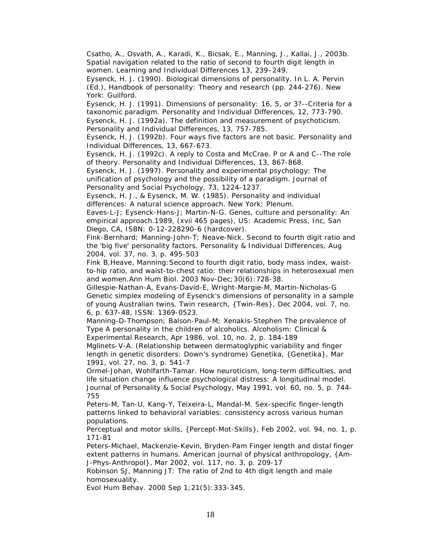Csatho, A., Osvath, A., Karadi, K., Bicsak, E., Manning, J., Kallai, J., 2003b. Spatial navigation related to the ratio of second to fourth digit length in women. Learning and Individual Differences 13, 239–249.

Eysenck, H. J. (1990). Biological dimensions of personality. In L. A. Pervin (Ed.), *Handbook of personality: Theory and research* (pp. 244-276). New York: Guilford.

Eysenck, H. J. (1991). Dimensions of personality: 16, 5, or 3?--Criteria for a taxonomic paradigm. *Personality and Individual Differences, 12,* 773-790. Eysenck, H. J. (1992a). The definition and measurement of psychoticism.

*Personality and Individual Differences, 13,* 757-785. Eysenck, H. J. (1992b). Four ways five factors are not basic. *Personality and* 

*Individual Differences, 13,* 667-673.

Eysenck, H. J. (1992c). A reply to Costa and McCrae. P or A and C--The role of theory. *Personality and Individual Differences, 13,* 867-868.

Eysenck, H. J. (1997). Personality and experimental psychology: The unification of psychology and the possibility of a paradigm. *Journal of Personality and Social Psychology, 73,* 1224-1237.

Eysenck, H. J., & Eysenck, M. W. (1985). *Personality and individual differences: A natural science approach.* New York: Plenum.

Eaves-L-J; Eysenck-Hans-J; Martin-N-G. Genes, culture and personality: An empirical approach.1989, (xvii 465 pages), US: Academic Press, Inc, San Diego, CA, ISBN: 0-12-228290-6 (hardcover).

Fink-Bernhard; Manning-John-T; Neave-Nick. Second to fourth digit ratio and the 'big five' personality factors. Personality & Individual Differences, Aug 2004, vol. 37, no. 3, p. 495-503

Fink B,Heave, Manning:Second to fourth digit ratio, body mass index, waistto-hip ratio, and waist-to-chest ratio: their relationships in heterosexual men and women.Ann Hum Biol. 2003 Nov-Dec;30(6):728-38.

Gillespie-Nathan-A, Evans-David-E, Wright-Margie-M, Martin-Nicholas-G Genetic simplex modeling of Eysenck's dimensions of personality in a sample of young Australian twins. Twin research, {Twin-Res}, Dec 2004, vol. 7, no. 6, p. 637-48, ISSN: 1369-0523.

Manning-D-Thompson; Balson-Paul-M; Xenakis-Stephen The prevalence of Type A personality in the children of alcoholics. Alcoholism: Clinical & Experimental Research, Apr 1986, vol. 10, no. 2, p. 184-189

Mglinets-V-A. (Relationship between dermatoglyphic variability and finger length in genetic disorders: Down's syndrome) Genetika, {Genetika}, Mar 1991, vol. 27, no. 3, p. 541-7

Ormel-Johan, Wohlfarth-Tamar. How neuroticism, long-term difficulties, and life situation change influence psychological distress: A longitudinal model. Journal of Personality & Social Psychology, May 1991, vol. 60, no. 5, p. 744- 755

Peters-M, Tan-U, Kang-Y, Teixeira-L, Mandal-M. Sex-specific finger-length patterns linked to behavioral variables: consistency across various human populations.

Perceptual and motor skills, {Percept-Mot-Skills}, Feb 2002, vol. 94, no. 1, p. 171-81

Peters-Michael, Mackenzie-Kevin, Bryden-Pam Finger length and distal finger extent patterns in humans. American journal of physical anthropology, {Am-J-Phys-Anthropol}, Mar 2002, vol. 117, no. 3, p. 209-17

Robinson SJ, Manning JT: The ratio of 2nd to 4th digit length and male homosexuality.

Evol Hum Behav. 2000 Sep 1;21(5):333-345.